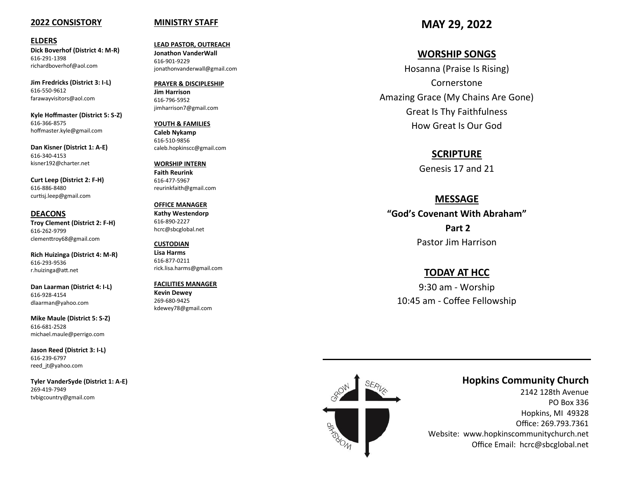#### **2022 CONSISTORY**

#### **ELDERS**

**Dick Boverhof (District 4: M -R)** 616 -291 -1398 richardboverhof@aol.com

**Jim Fredricks (District 3: I -L)** 616 -550 -9612 farawayvisitors@aol.com

**Kyle Hoffmaster (District 5: S -Z)** 616 -366 -8575 hoffmaster.kyle@gmail.com

**Dan Kisner (District 1: A -E)** 616 -340 -4153 kisner192@charter.net

**Curt Leep (District 2: F -H)** 616 -886 -8480 curtisj.leep@gmail.com

**DEACONS Troy Clement (District 2: F -H)** 616 -262 -9799 clementtroy68@gmail.com

**Rich Huizinga (District 4: M -R)** 616 -293 -9536 r.huizinga@att.net

**Dan Laarman (District 4: I -L)** 616 -928 -4154 dlaarman@yahoo.com

**Mike Maule (District 5: S -Z)** 616 -681 -2528 michael.maule@perrigo.com

**Jason Reed (District 3: I -L)** 616 -239 -6797 reed\_jt@yahoo.com

**Tyler VanderSyde (District 1: A -E)** 269 -419 -7949 tvbigcountry@gmail.com

#### **MINISTRY STAFF**

**LEAD PASTOR, OUTREACH Jonathon VanderWall**  616 -901 -9229 jonathonvanderwall@gmail.com

**PRAYER & DISCIPLESHIP Jim Harrison** 616 -796 -5952 jimharrison7@gmail.com

**YOUTH & FAMILIES Caleb Nykamp** 616 -510 -9856 caleb.hopkinscc@gmail.com

**WORSHIP INTERN Faith Reurink** 616 -477 -5967 reurinkfaith@gmail.com

**OFFICE MANAGER Kathy Westendorp** 616 -890 -2227 hcrc@sbcglobal.net

**CUSTODIAN Lisa Harms** 616 -877 -0211 rick.lisa.harms@gmail.com

**FACILITIES MANAGER Kevin Dewey** 269 -680 -9425 kdewey78@gmail.com

**MAY 29, 2022**

## **WORSHIP SONGS**

Hosanna (Praise Is Rising) Cornerstone Amazing Grace (My Chains Are Gone) Great Is Thy Faithfulness How Great Is Our God

#### **SCRIPTURE**

Genesis 17 and 21

#### **MESSAGE**

**"God 's Covenant With Abraham" Part 2** Pastor Jim Harrison

### **TODAY AT HCC**

9:30 am - Worship 10:45 am - Coffee Fellowship



## **Hopkins Community Church**

2142 128th Avenue PO Box 336 Hopkins, MI 49328 Office: 269.793.7361 Website: www.hopkinscommunitychurch.net Office Email: hcrc@sbcglobal.net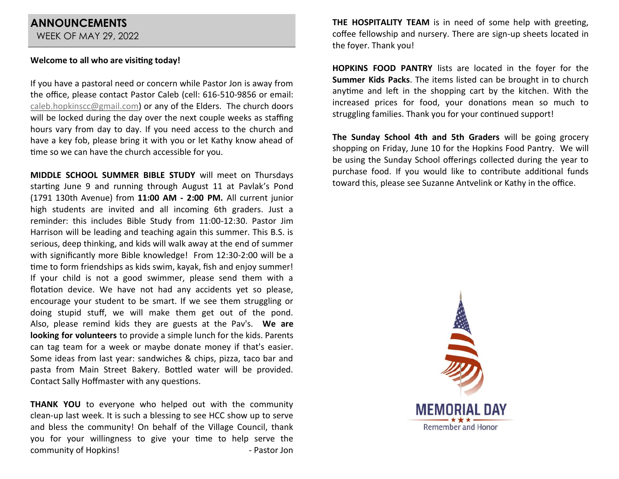# **ANNOUNCEMENTS**

WEEK OF MAY 29, 2022

## **Welcome to all who are visiting today!**

If you have a pastoral need or concern while Pastor Jon is away from the office, please contact Pastor Caleb (cell: 616-510-9856 or email: [caleb.hopkinscc@gmail.com\)](mailto:caleb.hopkinscc@gmail.com) or any of the Elders. The church doors will be locked during the day over the next couple weeks as staffing hours vary from day to day. If you need access to the church and have a key fob, please bring it with you or let Kathy know ahead of time so we can have the church accessible for you.

**MIDDLE SCHOOL SUMMER BIBLE STUDY** will meet on Thursdays starting June 9 and running through August 11 at Pavlak's Pond (1791 130th Avenue) from **11:00 AM - 2:00 PM.** All current junior high students are invited and all incoming 6th graders. Just a reminder: this includes Bible Study from 11:00-12:30. Pastor Jim Harrison will be leading and teaching again this summer. This B.S. is serious, deep thinking, and kids will walk away at the end of summer with significantly more Bible knowledge! From 12:30-2:00 will be a time to form friendships as kids swim, kayak, fish and enjoy summer! If your child is not a good swimmer, please send them with a flotation device. We have not had any accidents yet so please, encourage your student to be smart. If we see them struggling or doing stupid stuff, we will make them get out of the pond. Also, please remind kids they are guests at the Pav's. **We are looking for volunteers** to provide a simple lunch for the kids. Parents can tag team for a week or maybe donate money if that's easier. Some ideas from last year: sandwiches & chips, pizza, taco bar and pasta from Main Street Bakery. Bottled water will be provided. Contact Sally Hoffmaster with any questions.

**THANK YOU** to everyone who helped out with the community clean-up last week. It is such a blessing to see HCC show up to serve and bless the community! On behalf of the Village Council, thank you for your willingness to give your time to help serve the community of Hopkins! The Community of Hopkins!

**THE HOSPITALITY TEAM** is in need of some help with greeting, coffee fellowship and nursery. There are sign-up sheets located in the foyer. Thank you!

**HOPKINS FOOD PANTRY** lists are located in the foyer for the **Summer Kids Packs**. The items listed can be brought in to church anytime and left in the shopping cart by the kitchen. With the increased prices for food, your donations mean so much to struggling families. Thank you for your continued support!

**The Sunday School 4th and 5th Graders** will be going grocery shopping on Friday, June 10 for the Hopkins Food Pantry. We will be using the Sunday School offerings collected during the year to purchase food. If you would like to contribute additional funds toward this, please see Suzanne Antvelink or Kathy in the office.